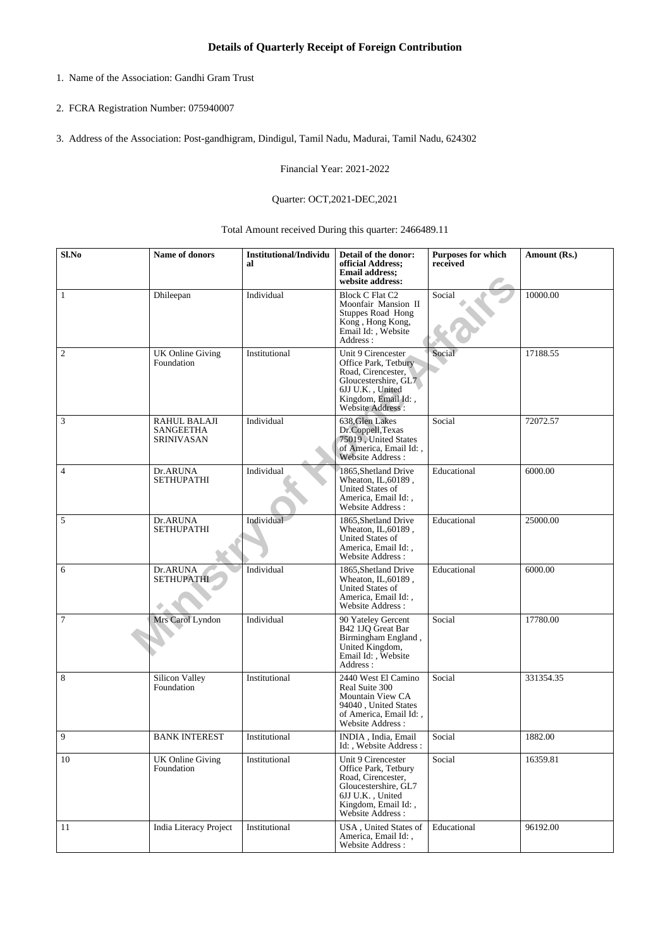- 1. Name of the Association: Gandhi Gram Trust
- 2. FCRA Registration Number: 075940007
- 3. Address of the Association: Post-gandhigram, Dindigul, Tamil Nadu, Madurai, Tamil Nadu, 624302

Financial Year: 2021-2022

## Quarter: OCT,2021-DEC,2021

Total Amount received During this quarter: 2466489.11

| Sl.No          | Name of donors                                        | <b>Institutional/Individu</b><br>al | Detail of the donor:<br>official Address;<br><b>Email address;</b><br>website address:                                                                  | Purposes for which<br>received | Amount (Rs.) |
|----------------|-------------------------------------------------------|-------------------------------------|---------------------------------------------------------------------------------------------------------------------------------------------------------|--------------------------------|--------------|
| 1              | Dhileepan                                             | Individual                          | <b>Block C Flat C2</b><br>Moonfair Mansion II<br>Stuppes Road Hong<br>Kong, Hong Kong,<br>Email Id:, Website<br>Address:                                | Social                         | 10000.00     |
| $\overline{c}$ | <b>UK Online Giving</b><br>Foundation                 | Institutional                       | Unit 9 Cirencester<br>Office Park, Tetbury<br>Road, Cirencester,<br>Gloucestershire, GL7<br>6JJ U.K., United<br>Kingdom, Email Id:,<br>Website Address: | Social                         | 17188.55     |
| $\mathfrak{Z}$ | RAHUL BALAJI<br><b>SANGEETHA</b><br><b>SRINIVASAN</b> | Individual                          | 638.Glen Lakes<br>Dr.Coppell, Texas<br>75019, United States<br>of America, Email Id:,<br>Website Address:                                               | Social                         | 72072.57     |
| $\overline{4}$ | Dr.ARUNA<br><b>SETHUPATHI</b>                         | Individual                          | 1865. Shetland Drive<br>Wheaton, IL, 60189,<br><b>United States of</b><br>America, Email Id:,<br><b>Website Address:</b>                                | Educational                    | 6000.00      |
| $\sqrt{5}$     | Dr.ARUNA<br><b>SETHUPATHI</b>                         | Individual                          | 1865, Shetland Drive<br>Wheaton, IL, 60189,<br>United States of<br>America, Email Id:,<br>Website Address:                                              | Educational                    | 25000.00     |
| 6              | Dr.ARUNA<br><b>SETHUPATHI</b>                         | Individual                          | 1865, Shetland Drive<br>Wheaton, IL, 60189,<br>United States of<br>America, Email Id:,<br>Website Address:                                              | Educational                    | 6000.00      |
| $\tau$         | Mrs Carol Lyndon                                      | Individual                          | 90 Yateley Gercent<br>B42 1JQ Great Bar<br>Birmingham England,<br>United Kingdom,<br>Email Id:, Website<br>Address:                                     | Social                         | 17780.00     |
| 8              | Silicon Valley<br>Foundation                          | Institutional                       | 2440 West El Camino<br>Real Suite 300<br>Mountain View CA<br>94040, United States<br>of America, Email Id:,<br>Website Address:                         | Social                         | 331354.35    |
| 9              | <b>BANK INTEREST</b>                                  | Institutional                       | INDIA, India, Email<br>Id:, Website Address:                                                                                                            | Social                         | 1882.00      |
| 10             | <b>UK Online Giving</b><br>Foundation                 | Institutional                       | Unit 9 Cirencester<br>Office Park, Tetbury<br>Road, Cirencester,<br>Gloucestershire, GL7<br>6JJ U.K., United<br>Kingdom, Email Id:,<br>Website Address: | Social                         | 16359.81     |
| 11             | <b>India Literacy Project</b>                         | Institutional                       | USA, United States of<br>America, Email Id:,<br>Website Address:                                                                                        | Educational                    | 96192.00     |